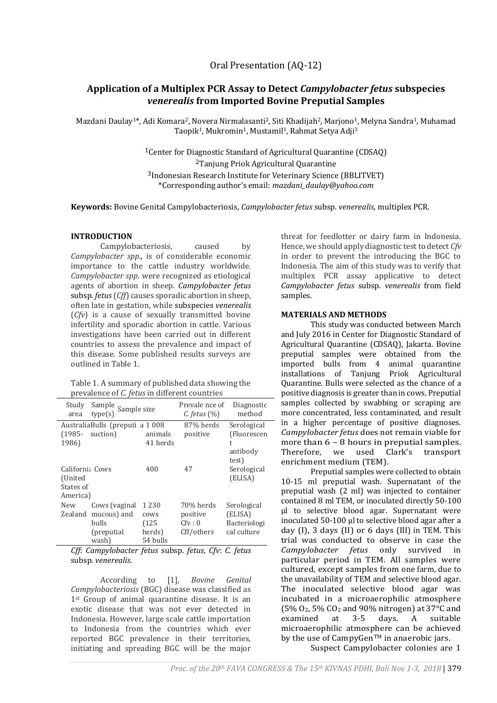# **Application of a Multiplex PCR Assay to Detect** *Campylobacter fetus* **subspecies**  *venerealis* **from Imported Bovine Preputial Samples**

Mazdani Daulay<sup>1\*</sup>, Adi Komara<sup>2</sup>, Novera Nirmalasanti<sup>2</sup>, Siti Khadijah<sup>2</sup>, Marjono<sup>1</sup>, Melyna Sandra<sup>1</sup>, Muhamad Taopik<sup>1</sup>, Mukromin<sup>1</sup>, Mustamil<sup>1</sup>, Rahmat Setya Adji<sup>3</sup>

> Center for Diagnostic Standard of Agricultural Quarantine (CDSAQ) Tanjung Priok Agricultural Quarantine Indonesian Research Institute for Veterinary Science (BBLITVET) \*Corresponding author's email: *mazdani\_daulay@yahoo.com*

**Keywords:** Bovine Genital Campylobacteriosis, *Campylobacter fetus* subsp. *venerealis*, multiplex PCR.

## **INTRODUCTION**

Campylobacteriosis, caused by *Campylobacter spp*.*,* is of considerable economic importance to the cattle industry worldwide. *Campylobacter spp*. were recognized as etiological agents of abortion in sheep. *Campylobacter fetus*  subsp. *fetus*(*Cff*) causes sporadic abortion in sheep, often late in gestation, while subspecies *venerealis* (*Cfv*) is a cause of sexually transmitted bovine infertility and sporadic abortion in cattle. Various investigations have been carried out in different countries to assess the prevalence and impact of this disease. Some published results surveys are outlined in Table 1.

|                                                      | Table 1. A summary of published data showing the |
|------------------------------------------------------|--------------------------------------------------|
| prevalence of <i>C. fetus</i> in different countries |                                                  |

| Study<br>area                                       | Sample<br>Sample size<br>type(s)                              |                                                | Prevale nce of<br>$C.$ fetus $(\%)$           | Diagnostic<br>method                                  |  |  |
|-----------------------------------------------------|---------------------------------------------------------------|------------------------------------------------|-----------------------------------------------|-------------------------------------------------------|--|--|
| $(1985 -$<br>1986)                                  | Australia Bulls (preputi a 1008)<br>suction)                  | animals<br>41 herds                            | 87% herds<br>positive                         | Serological<br>(Fluorescen<br>t<br>antibody<br>test)  |  |  |
| Californi: Cows<br>(United<br>States of<br>America) |                                                               | 400                                            | 47                                            | Serological<br>(ELISA)                                |  |  |
| New<br>Zealand                                      | Cows (vaginal<br>mucous) and<br>bulls<br>(preputial)<br>wash) | 1 2 3 0<br>cows<br>(125)<br>herds)<br>54 bulls | 70% herds<br>positive<br>Cfv: 0<br>Cff/others | Serological<br>(ELISA)<br>Bacteriologi<br>cal culture |  |  |

*Cff*: *Campylobacter fetus* subsp. *fetus*, *Cfv*: *C. fetus*  subsp. *venerealis*.

According to [1], *Bovine Genital Campylobacteriosis* (BGC) disease was classified as 1<sup>st</sup> Group of animal quarantine disease. It is an exotic disease that was not ever detected in Indonesia. However, large scale cattle importation to Indonesia from the countries which ever reported BGC prevalence in their territories, initiating and spreading BGC will be the major

threat for feedlotter or dairy farm in Indonesia. Hence, we should apply diagnostic test to detect *Cfv*  in order to prevent the introducing the BGC to Indonesia. The aim of this study was to verify that multiplex PCR assay applicative to detect *Campylobacter fetus* subsp. *venerealis* from field samples.

## **MATERIALS AND METHODS**

This study was conducted between March and July 2016 in Center for Diagnostic Standard of Agricultural Quarantine (CDSAQ), Jakarta. Bovine preputial samples were obtained from the imported bulls from 4 animal quarantine installations of Tanjung Priok Agricultural Quarantine. Bulls were selected as the chance of a positive diagnosis is greater than in cows. Preputial samples collected by swabbing or scraping are more concentrated, less contaminated, and result in a higher percentage of positive diagnoses. *Campylobacter fetus* does not remain viable for more than 6 – 8 hours in preputial samples. Therefore, we used Clark's transport enrichment medium (TEM).

Preputial samples were collected to obtain 10-15 ml preputial wash. Supernatant of the preputial wash (2 ml) was injected to container contained 8 ml TEM, or inoculated directly 50-100 µl to selective blood agar. Supernatant were inoculated 50-100 µl to selective blood agar after a day (I), 3 days (II) or 6 days (III) in TEM. This trial was conducted to observe in case the *Campylobacter fetus* only survived in particular period in TEM. All samples were cultured, except samples from one farm, due to the unavailability of TEM and selective blood agar. The inoculated selective blood agar was incubated in a microaerophilic atmosphere (5% O2, 5% CO<sup>2</sup> and 90% nitrogen) at 37°C and examined at 3-5 days. A suitable microaerophilic atmosphere can be achieved by the use of CampyGen<sup>TM</sup> in anaerobic jars. Suspect Campylobacter colonies are 1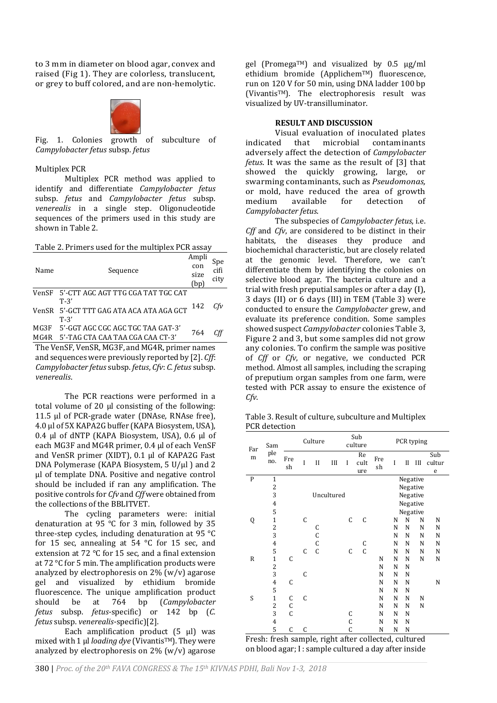to 3 mm in diameter on blood agar, convex and raised (Fig 1). They are colorless, translucent, or grey to buff colored, and are non-hemolytic.



Fig. 1. Colonies growth of subculture of *Campylobacter fetus* subsp. *fetus*

#### Multiplex PCR

Multiplex PCR method was applied to identify and differentiate *Campylobacter fetus* subsp. *fetus* and *Campylobacter fetus* subsp. *venerealis* in a single step. Oligonucleotide sequences of the primers used in this study are shown in Table 2.

Table 2. Primers used for the multiplex PCR assay

| Name | Sequence                                 | Ampli<br>con<br>size<br>(bp) | Spe<br>$\overline{c}$ ifi<br>city |
|------|------------------------------------------|------------------------------|-----------------------------------|
|      | VenSF 5'-CTT AGC AGT TTG CGA TAT TGC CAT |                              |                                   |
|      | $T-3'$                                   |                              |                                   |
|      | VenSR 5'-GCT TTT GAG ATA ACA ATA AGA GCT | 142                          | Cfv                               |
|      | $T-3'$                                   |                              |                                   |
| MG3F | - 5'-GGT AGC CGC AGC TGC TAA GAT-3'      | 764                          |                                   |
|      | MG4R 5'-TAG CTA CAA TAA CGA CAA CT-3'    |                              |                                   |

The VenSF, VenSR, MG3F, and MG4R, primer names and sequences were previously reported by [2]. *Cff*: *Campylobacter fetus* subsp. *fetus*, *Cfv*: *C. fetus* subsp. *venerealis*.

The PCR reactions were performed in a total volume of 20 µl consisting of the following: 11.5 µl of PCR-grade water (DNAse, RNAse free), 4.0 µl of 5X KAPA2G buffer (KAPA Biosystem, USA), 0.4 µl of dNTP (KAPA Biosystem, USA), 0.6 µl of each MG3F and MG4R primer, 0.4 µl of each VenSF and VenSR primer (XIDT), 0.1 µl of KAPA2G Fast DNA Polymerase (KAPA Biosystem, 5 U/µl) and 2 µl of template DNA. Positive and negative control should be included if ran any amplification. The positive controls for *Cfv* and *Cff* were obtained from the collections of the BBLITVET*.* 

The cycling parameters were: initial denaturation at 95 °C for 3 min, followed by 35 three-step cycles, including denaturation at 95 °C for 15 sec, annealing at 54 °C for 15 sec, and extension at 72 °C for 15 sec, and a final extension at 72 °C for 5 min. The amplification products were analyzed by electrophoresis on  $2\%$  (w/v) agarose gel and visualized by ethidium bromide fluorescence. The unique amplification product should be at 764 bp (*Campylobacter fetus* subsp. *fetus*-specific) or 142 bp (*C. fetus* subsp. *venerealis*-specific)[2].

Each amplification product  $(5 \text{ µ})$  was mixed with 1 µl *loading dye* (Vivantis™). They were analyzed by electrophoresis on 2% (w/v) agarose

gel (Promega<sup>TM</sup>) and visualized by 0.5  $\mu$ g/ml ethidium bromide (ApplichemTM) fluorescence, run on 120 V for 50 min, using DNA ladder 100 bp (VivantisTM). The electrophoresis result was visualized by UV-transilluminator.

#### **RESULT AND DISCUSSION**

Visual evaluation of inoculated plates<br>ed that microbial contaminants indicated that microbial contaminants adversely affect the detection of *Campylobacter fetus*. It was the same as the result of [3] that showed the quickly growing, large, or swarming contaminants, such as *Pseudomonas,*  or mold, have reduced the area of growth medium available for detection of *Campylobacter fetus*.

The subspecies of *Campylobacter fetus*, i.e. *Cff* and *Cfv*, are considered to be distinct in their habitats, the diseases they produce and biochemichal characteristic, but are closely related at the genomic level. Therefore, we can't differentiate them by identifying the colonies on selective blood agar. The bacteria culture and a trial with fresh preputial samples or after a day (I), 3 days (II) or 6 days (III) in TEM (Table 3) were conducted to ensure the *Campylobacter* grew, and evaluate its preference condition. Some samples showed suspect *Campylobacter* colonies Table 3, Figure 2 and 3, but some samples did not grow any colonies. To confirm the sample was positive of *Cff* or *Cfv*, or negative, we conducted PCR method. Almost all samples, including the scraping of preputium organ samples from one farm, were tested with PCR assay to ensure the existence of *Cfv*.

Table 3. Result of culture, subculture and Multiplex PCR detection

| Far<br>m     | Sam<br>ple<br>no.                          | Culture      |              | Sub<br>culture |            | PCR typing |                   |           |   |             |          |                    |
|--------------|--------------------------------------------|--------------|--------------|----------------|------------|------------|-------------------|-----------|---|-------------|----------|--------------------|
|              |                                            | Fre<br>sh    | I            | $\mathbf{I}$   | Ш          | I          | Re<br>cult<br>ure | Fre<br>sh | I | $_{\rm II}$ | Ш        | Sub<br>cultur<br>e |
| P            | $\mathbf{1}$                               |              |              |                |            |            |                   |           |   |             | Negative |                    |
|              | $\overline{\mathbf{c}}$                    |              |              |                |            |            |                   |           |   |             | Negative |                    |
|              | 3                                          |              |              |                | Uncultured |            |                   |           |   |             | Negative |                    |
|              | 4                                          |              |              |                |            |            |                   |           |   |             | Negative |                    |
|              | 5                                          |              |              |                |            |            |                   |           |   |             | Negative |                    |
| Q            | $\mathbf{1}$                               |              | C            |                |            | C          | C                 |           | N | N           | N        | N                  |
|              | $\frac{2}{3}$                              |              |              | C<br>C         |            |            |                   |           | N | N           | N        | N                  |
|              |                                            |              |              |                |            |            |                   |           | N | N           | N        | N                  |
|              | $\overline{\mathbf{4}}$                    |              |              | C              |            |            | C                 |           | N | N           | N        | N                  |
|              | 5                                          |              | C            | $\overline{C}$ |            | C          | $\overline{C}$    |           | N | N           | N        | N                  |
| $\mathsf{R}$ | $\mathbf{1}$                               | C            |              |                |            |            |                   | N         | N | N           | N        | N                  |
|              | $\begin{array}{c} 2 \\ 3 \\ 4 \end{array}$ |              |              |                |            |            |                   | N         | N | N           |          |                    |
|              |                                            |              | C            |                |            |            |                   | N         | N | N           |          |                    |
|              |                                            | C            |              |                |            |            |                   | N         | N | N           |          | N                  |
|              | 5                                          |              |              |                |            |            |                   | N         | N | N           |          |                    |
| S            | $\mathbf{1}$                               | C            | $\mathsf{C}$ |                |            |            |                   | N         | N | N           | N        |                    |
|              | $\overline{c}$                             | $\mathsf{C}$ |              |                |            |            |                   | N         | N | N           | N        |                    |
|              | 3                                          | C            |              |                |            | C          |                   | N         | N | N           |          |                    |
|              | 4                                          |              |              |                |            | C          |                   | N         | N | N           |          |                    |
|              | 5                                          | C            | C            |                |            | C          |                   | N         | N | N           |          |                    |

Fresh: fresh sample, right after collected, cultured on blood agar; I : sample cultured a day after inside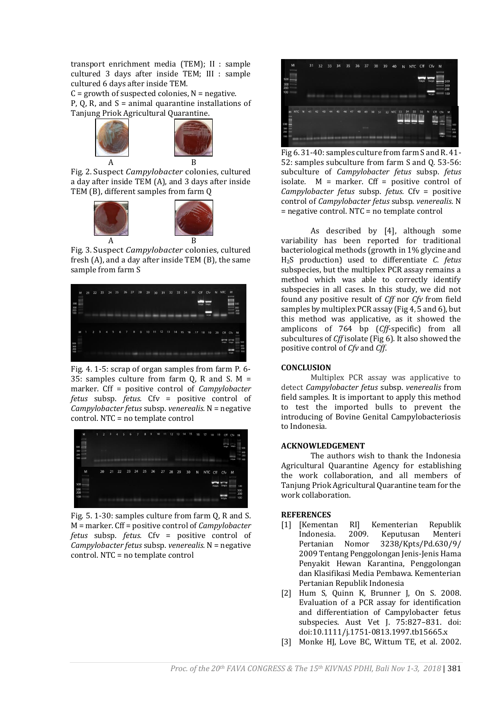transport enrichment media (TEM); II : sample cultured 3 days after inside TEM; III : sample cultured 6 days after inside TEM.

 $C =$  growth of suspected colonies,  $N =$  negative. P, Q, R, and  $S =$  animal quarantine installations of Tanjung Priok Agricultural Quarantine.



Fig. 2. Suspect *Campylobacter* colonies, cultured a day after inside TEM (A), and 3 days after inside TEM (B), different samples from farm Q



Fig. 3. Suspect *Campylobacter* colonies, cultured fresh (A), and a day after inside TEM (B), the same sample from farm S



Fig. 4. 1-5: scrap of organ samples from farm P. 6- 35: samples culture from farm  $Q$ , R and S. M = marker. Cff = positive control of *Campylobacter fetus* subsp. *fetus.* Cfv = positive control of *Campylobacter fetus* subsp. *venerealis.* N = negative control. NTC = no template control



Fig. 5. 1-30: samples culture from farm Q, R and S. M = marker. Cff = positive control of *Campylobacter fetus* subsp. *fetus.* Cfv = positive control of *Campylobacter fetus* subsp. *venerealis.* N = negative control. NTC = no template control



Fig 6. 31-40: samples culture from farm S and R. 41- 52: samples subculture from farm S and Q. 53-56: subculture of *Campylobacter fetus* subsp. *fetus*  isolate*.* M = marker. Cff = positive control of *Campylobacter fetus* subsp. *fetus.* Cfv = positive control of *Campylobacter fetus* subsp. *venerealis.* N = negative control. NTC = no template control

As described by [4], although some variability has been reported for traditional bacteriological methods (growth in 1% glycine and H2S production) used to differentiate *C. fetus* subspecies, but the multiplex PCR assay remains a method which was able to correctly identify subspecies in all cases. In this study, we did not found any positive result of *Cff* nor *Cfv* from field samples by multiplex PCR assay (Fig 4, 5 and 6), but this method was applicative, as it showed the amplicons of 764 bp (*Cff*-specific) from all subcultures of *Cff* isolate (Fig 6). It also showed the positive control of *Cfv* and *Cff*.

# **CONCLUSION**

Multiplex PCR assay was applicative to detect *Campylobacter fetus* subsp. *venerealis* from field samples. It is important to apply this method to test the imported bulls to prevent the introducing of Bovine Genital Campylobacteriosis to Indonesia*.*

#### **ACKNOWLEDGEMENT**

The authors wish to thank the Indonesia Agricultural Quarantine Agency for establishing the work collaboration, and all members of Tanjung Priok Agricultural Quarantine team for the work collaboration.

#### **REFERENCES**

- [1] [Kementan RI] Kementerian Republik Indonesia. 2009. Keputusan Menteri Pertanian Nomor 3238/Kpts/Pd.630/9/ 2009 Tentang Penggolongan Jenis-Jenis Hama Penyakit Hewan Karantina, Penggolongan dan Klasifikasi Media Pembawa. Kementerian Pertanian Republik Indonesia
- [2] Hum S, Quinn K, Brunner J, On S. 2008. Evaluation of a PCR assay for identification and differentiation of Campylobacter fetus subspecies. Aust Vet J. 75:827–831. doi: doi:10.1111/j.1751-0813.1997.tb15665.x
- [3] Monke HJ, Love BC, Wittum TE, et al. 2002.